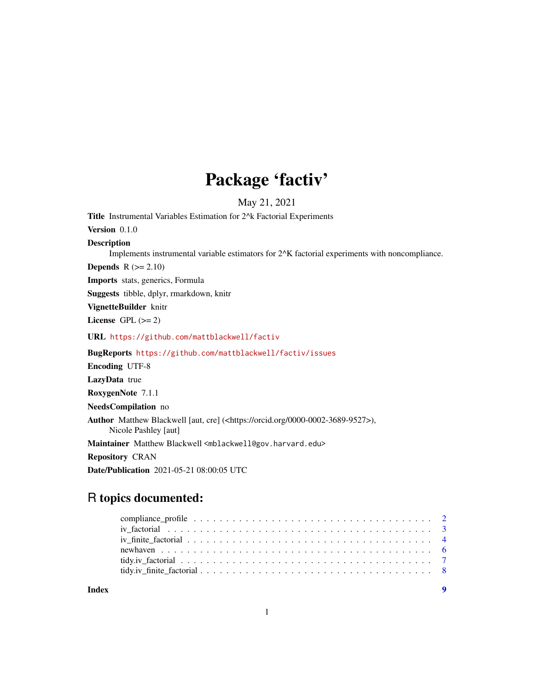## Package 'factiv'

May 21, 2021

<span id="page-0-0"></span>Title Instrumental Variables Estimation for 2<sup>^</sup>k Factorial Experiments Version 0.1.0 Description Implements instrumental variable estimators for 2^K factorial experiments with noncompliance. **Depends**  $R$  ( $>= 2.10$ ) Imports stats, generics, Formula Suggests tibble, dplyr, rmarkdown, knitr VignetteBuilder knitr License GPL  $(>= 2)$ URL <https://github.com/mattblackwell/factiv> BugReports <https://github.com/mattblackwell/factiv/issues> Encoding UTF-8 LazyData true RoxygenNote 7.1.1 NeedsCompilation no Author Matthew Blackwell [aut, cre] (<https://orcid.org/0000-0002-3689-9527>), Nicole Pashley [aut] Maintainer Matthew Blackwell <mblackwell@gov.harvard.edu> Repository CRAN Date/Publication 2021-05-21 08:00:05 UTC

## R topics documented:

| Index |  |
|-------|--|

1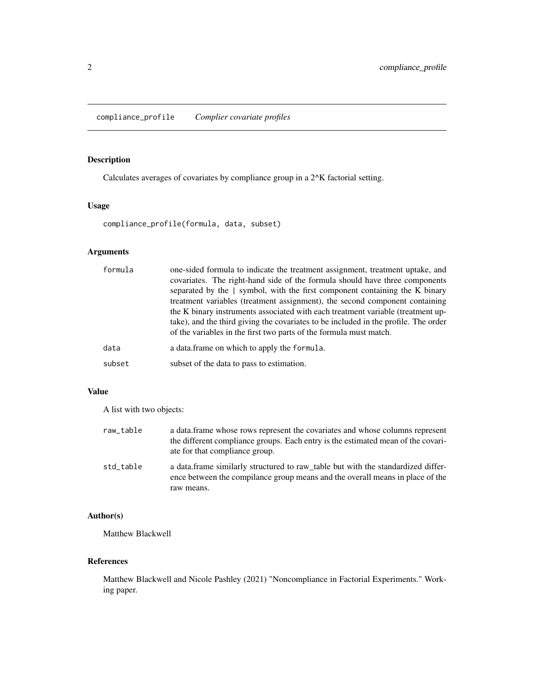## <span id="page-1-0"></span>Description

Calculates averages of covariates by compliance group in a 2^K factorial setting.

## Usage

compliance\_profile(formula, data, subset)

## Arguments

| formula | one-sided formula to indicate the treatment assignment, treatment uptake, and<br>covariates. The right-hand side of the formula should have three components<br>separated by the   symbol, with the first component containing the K binary<br>treatment variables (treatment assignment), the second component containing<br>the K binary instruments associated with each treatment variable (treatment up-<br>take), and the third giving the covariates to be included in the profile. The order<br>of the variables in the first two parts of the formula must match. |
|---------|----------------------------------------------------------------------------------------------------------------------------------------------------------------------------------------------------------------------------------------------------------------------------------------------------------------------------------------------------------------------------------------------------------------------------------------------------------------------------------------------------------------------------------------------------------------------------|
| data    | a data. frame on which to apply the formula.                                                                                                                                                                                                                                                                                                                                                                                                                                                                                                                               |
| subset  | subset of the data to pass to estimation.                                                                                                                                                                                                                                                                                                                                                                                                                                                                                                                                  |

## Value

A list with two objects:

| raw_table | a data frame whose rows represent the covariates and whose columns represent<br>the different compliance groups. Each entry is the estimated mean of the covari-<br>ate for that compliance group. |
|-----------|----------------------------------------------------------------------------------------------------------------------------------------------------------------------------------------------------|
| std table | a data frame similarly structured to raw_table but with the standardized differ-<br>ence between the compilance group means and the overall means in place of the<br>raw means.                    |

## Author(s)

Matthew Blackwell

#### References

Matthew Blackwell and Nicole Pashley (2021) "Noncompliance in Factorial Experiments." Working paper.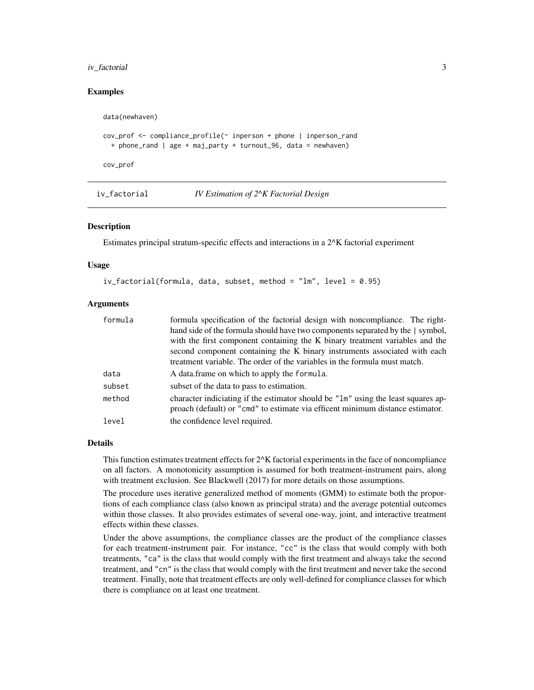#### <span id="page-2-0"></span>iv\_factorial 3

#### Examples

```
data(newhaven)
cov_prof <- compliance_profile(~ inperson + phone | inperson_rand
  + phone_rand | age + maj_party + turnout_96, data = newhaven)
cov_prof
```
<span id="page-2-1"></span>iv\_factorial *IV Estimation of 2^K Factorial Design*

## **Description**

Estimates principal stratum-specific effects and interactions in a 2^K factorial experiment

#### Usage

```
iv_factorial(formula, data, subset, method = "lm", level = 0.95)
```
#### Arguments

| formula | formula specification of the factorial design with noncompliance. The right-                                                                                        |
|---------|---------------------------------------------------------------------------------------------------------------------------------------------------------------------|
|         | hand side of the formula should have two components separated by the   symbol,                                                                                      |
|         | with the first component containing the K binary treatment variables and the                                                                                        |
|         | second component containing the K binary instruments associated with each                                                                                           |
|         | treatment variable. The order of the variables in the formula must match.                                                                                           |
| data    | A data.frame on which to apply the formula.                                                                                                                         |
| subset  | subset of the data to pass to estimation.                                                                                                                           |
| method  | character indiciating if the estimator should be "1m" using the least squares ap-<br>proach (default) or "cmd" to estimate via efficent minimum distance estimator. |
| level   | the confidence level required.                                                                                                                                      |

#### Details

This function estimates treatment effects for  $2^k$  factorial experiments in the face of noncompliance on all factors. A monotonicity assumption is assumed for both treatment-instrument pairs, along with treatment exclusion. See Blackwell (2017) for more details on those assumptions.

The procedure uses iterative generalized method of moments (GMM) to estimate both the proportions of each compliance class (also known as principal strata) and the average potential outcomes within those classes. It also provides estimates of several one-way, joint, and interactive treatment effects within these classes.

Under the above assumptions, the compliance classes are the product of the compliance classes for each treatment-instrument pair. For instance, "cc" is the class that would comply with both treatments, "ca" is the class that would comply with the first treatment and always take the second treatment, and "cn" is the class that would comply with the first treatment and never take the second treatment. Finally, note that treatment effects are only well-defined for compliance classes for which there is compliance on at least one treatment.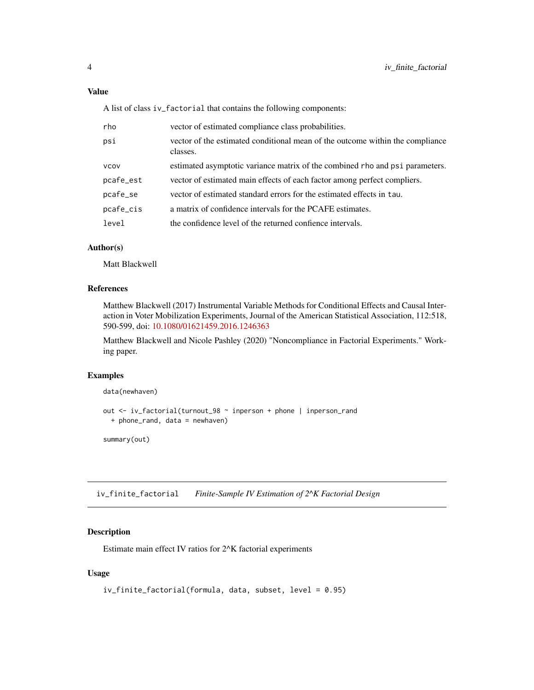<span id="page-3-0"></span>Value

A list of class iv\_factorial that contains the following components:

| rho       | vector of estimated compliance class probabilities.                                       |
|-----------|-------------------------------------------------------------------------------------------|
| psi       | vector of the estimated conditional mean of the outcome within the compliance<br>classes. |
| VCOV      | estimated asymptotic variance matrix of the combined rho and psi parameters.              |
| pcafe_est | vector of estimated main effects of each factor among perfect compliers.                  |
| pcafe_se  | vector of estimated standard errors for the estimated effects in tau.                     |
| pcafe_cis | a matrix of confidence intervals for the PCAFE estimates.                                 |
| level     | the confidence level of the returned confience intervals.                                 |
|           |                                                                                           |

## Author(s)

Matt Blackwell

## References

Matthew Blackwell (2017) Instrumental Variable Methods for Conditional Effects and Causal Interaction in Voter Mobilization Experiments, Journal of the American Statistical Association, 112:518, 590-599, doi: [10.1080/01621459.2016.1246363](https://doi.org/10.1080/01621459.2016.1246363)

Matthew Blackwell and Nicole Pashley (2020) "Noncompliance in Factorial Experiments." Working paper.

#### Examples

```
data(newhaven)
```

```
out <- iv_factorial(turnout_98 ~ inperson + phone | inperson_rand
 + phone_rand, data = newhaven)
```
summary(out)

<span id="page-3-1"></span>iv\_finite\_factorial *Finite-Sample IV Estimation of 2^K Factorial Design*

## Description

Estimate main effect IV ratios for 2^K factorial experiments

#### Usage

```
iv_finite_factorial(formula, data, subset, level = 0.95)
```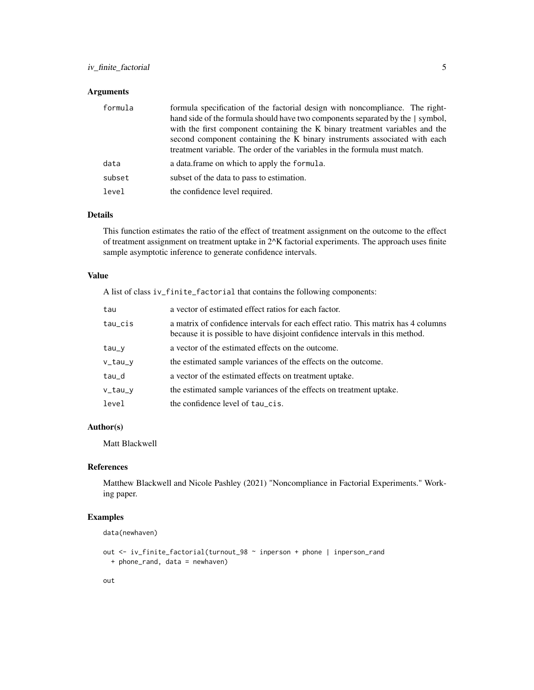## iv\_finite\_factorial 5

## Arguments

| formula | formula specification of the factorial design with noncompliance. The right-<br>hand side of the formula should have two components separated by the   symbol,<br>with the first component containing the K binary treatment variables and the<br>second component containing the K binary instruments associated with each<br>treatment variable. The order of the variables in the formula must match. |
|---------|----------------------------------------------------------------------------------------------------------------------------------------------------------------------------------------------------------------------------------------------------------------------------------------------------------------------------------------------------------------------------------------------------------|
| data    | a data.frame on which to apply the formula.                                                                                                                                                                                                                                                                                                                                                              |
| subset  | subset of the data to pass to estimation.                                                                                                                                                                                                                                                                                                                                                                |
| level   | the confidence level required.                                                                                                                                                                                                                                                                                                                                                                           |

#### Details

This function estimates the ratio of the effect of treatment assignment on the outcome to the effect of treatment assignment on treatment uptake in 2^K factorial experiments. The approach uses finite sample asymptotic inference to generate confidence intervals.

### Value

A list of class iv\_finite\_factorial that contains the following components:

| tau     | a vector of estimated effect ratios for each factor.                                                                                                              |
|---------|-------------------------------------------------------------------------------------------------------------------------------------------------------------------|
| tau_cis | a matrix of confidence intervals for each effect ratio. This matrix has 4 columns<br>because it is possible to have disjoint confidence intervals in this method. |
| tau_y   | a vector of the estimated effects on the outcome.                                                                                                                 |
| v_tau_v | the estimated sample variances of the effects on the outcome.                                                                                                     |
| tau_d   | a vector of the estimated effects on treatment uptake.                                                                                                            |
| v_tau_y | the estimated sample variances of the effects on treatment uptake.                                                                                                |
| level   | the confidence level of tau_cis.                                                                                                                                  |

## Author(s)

Matt Blackwell

## References

Matthew Blackwell and Nicole Pashley (2021) "Noncompliance in Factorial Experiments." Working paper.

## Examples

```
data(newhaven)
```

```
out <- iv_finite_factorial(turnout_98 ~ inperson + phone | inperson_rand
  + phone_rand, data = newhaven)
```
## out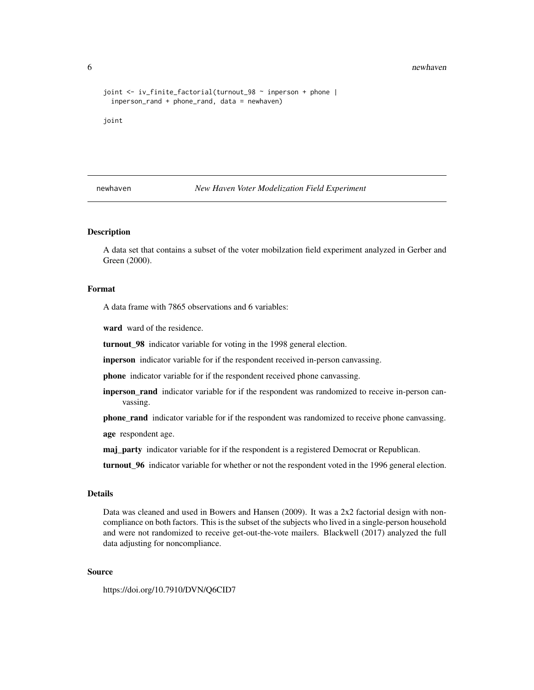#### 6 newhaven by the contract of the contract of the contract of the contract of the newhaven  $\mathbb{R}^n$

```
joint <- iv_finite_factorial(turnout_98 ~ inperson + phone |
 inperson_rand + phone_rand, data = newhaven)
```
joint

newhaven *New Haven Voter Modelization Field Experiment*

#### **Description**

A data set that contains a subset of the voter mobilzation field experiment analyzed in Gerber and Green (2000).

#### Format

A data frame with 7865 observations and 6 variables:

ward ward of the residence.

turnout\_98 indicator variable for voting in the 1998 general election.

inperson indicator variable for if the respondent received in-person canvassing.

phone indicator variable for if the respondent received phone canvassing.

inperson\_rand indicator variable for if the respondent was randomized to receive in-person canvassing.

**phone rand** indicator variable for if the respondent was randomized to receive phone canvassing.

age respondent age.

maj\_party indicator variable for if the respondent is a registered Democrat or Republican.

turnout\_96 indicator variable for whether or not the respondent voted in the 1996 general election.

## Details

Data was cleaned and used in Bowers and Hansen (2009). It was a 2x2 factorial design with noncompliance on both factors. This is the subset of the subjects who lived in a single-person household and were not randomized to receive get-out-the-vote mailers. Blackwell (2017) analyzed the full data adjusting for noncompliance.

#### Source

https://doi.org/10.7910/DVN/Q6CID7

<span id="page-5-0"></span>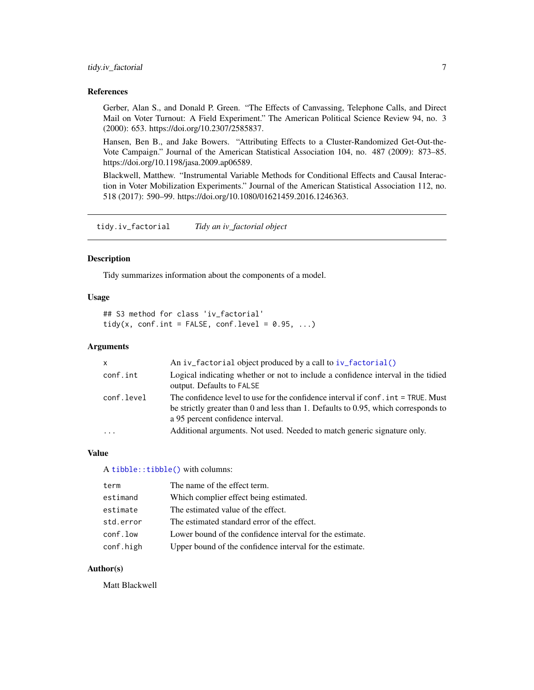#### <span id="page-6-0"></span>References

Gerber, Alan S., and Donald P. Green. "The Effects of Canvassing, Telephone Calls, and Direct Mail on Voter Turnout: A Field Experiment." The American Political Science Review 94, no. 3 (2000): 653. https://doi.org/10.2307/2585837.

Hansen, Ben B., and Jake Bowers. "Attributing Effects to a Cluster-Randomized Get-Out-the-Vote Campaign." Journal of the American Statistical Association 104, no. 487 (2009): 873–85. https://doi.org/10.1198/jasa.2009.ap06589.

Blackwell, Matthew. "Instrumental Variable Methods for Conditional Effects and Causal Interaction in Voter Mobilization Experiments." Journal of the American Statistical Association 112, no. 518 (2017): 590–99. https://doi.org/10.1080/01621459.2016.1246363.

tidy.iv\_factorial *Tidy an iv\_factorial object*

#### Description

Tidy summarizes information about the components of a model.

#### Usage

```
## S3 method for class 'iv_factorial'
tidy(x, conf.int = FALSE, conf.level = 0.95, ...)
```
#### Arguments

| $\mathsf{x}$ | An iv factorial object produced by a call to $iv$ factorial()                                                                                                                                                |
|--------------|--------------------------------------------------------------------------------------------------------------------------------------------------------------------------------------------------------------|
| conf.int     | Logical indicating whether or not to include a confidence interval in the tidied<br>output. Defaults to FALSE                                                                                                |
| conf.level   | The confidence level to use for the confidence interval if conf. int = TRUE. Must<br>be strictly greater than 0 and less than 1. Defaults to 0.95, which corresponds to<br>a 95 percent confidence interval. |
|              | Additional arguments. Not used. Needed to match generic signature only.                                                                                                                                      |

#### Value

A [tibble::tibble\(\)](#page-0-0) with columns:

| term      | The name of the effect term.                             |
|-----------|----------------------------------------------------------|
| estimand  | Which complier effect being estimated.                   |
| estimate  | The estimated value of the effect.                       |
| std.error | The estimated standard error of the effect.              |
| conf.low  | Lower bound of the confidence interval for the estimate. |
| conf.high | Upper bound of the confidence interval for the estimate. |

#### Author(s)

Matt Blackwell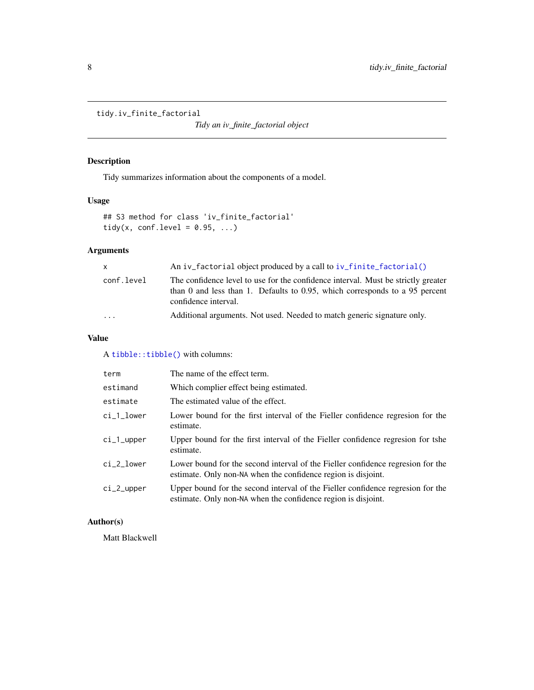<span id="page-7-0"></span>tidy.iv\_finite\_factorial

*Tidy an iv\_finite\_factorial object*

## Description

Tidy summarizes information about the components of a model.

## Usage

```
## S3 method for class 'iv_finite_factorial'
tidy(x, conf.level = 0.95, ...)
```
## Arguments

| $\mathsf{x}$ | An iv factorial object produced by a call to iv finite factorial $()$                                                                                                                    |
|--------------|------------------------------------------------------------------------------------------------------------------------------------------------------------------------------------------|
| conf.level   | The confidence level to use for the confidence interval. Must be strictly greater<br>than 0 and less than 1. Defaults to 0.95, which corresponds to a 95 percent<br>confidence interval. |
| $\cdots$     | Additional arguments. Not used. Needed to match generic signature only.                                                                                                                  |

#### Value

A [tibble::tibble\(\)](#page-0-0) with columns:

| term       | The name of the effect term.                                                                                                                     |
|------------|--------------------------------------------------------------------------------------------------------------------------------------------------|
| estimand   | Which complier effect being estimated.                                                                                                           |
| estimate   | The estimated value of the effect.                                                                                                               |
| ci_1_lower | Lower bound for the first interval of the Fieller confidence regresion for the<br>estimate.                                                      |
| ci_1_upper | Upper bound for the first interval of the Fieller confidence regression for tshe<br>estimate.                                                    |
| ci_2_lower | Lower bound for the second interval of the Fieller confidence regresion for the<br>estimate. Only non-NA when the confidence region is disjoint. |
| ci_2_upper | Upper bound for the second interval of the Fieller confidence regresion for the<br>estimate. Only non-NA when the confidence region is disjoint. |

## Author(s)

Matt Blackwell